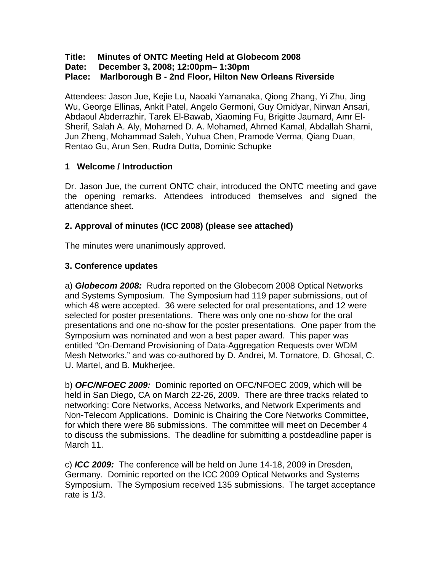### **Title: Minutes of ONTC Meeting Held at Globecom 2008**

**Date: December 3, 2008; 12:00pm– 1:30pm** 

### **Place: Marlborough B - 2nd Floor, Hilton New Orleans Riverside**

Attendees: Jason Jue, Kejie Lu, Naoaki Yamanaka, Qiong Zhang, Yi Zhu, Jing Wu, George Ellinas, Ankit Patel, Angelo Germoni, Guy Omidyar, Nirwan Ansari, Abdaoul Abderrazhir, Tarek El-Bawab, Xiaoming Fu, Brigitte Jaumard, Amr El-Sherif, Salah A. Aly, Mohamed D. A. Mohamed, Ahmed Kamal, Abdallah Shami, Jun Zheng, Mohammad Saleh, Yuhua Chen, Pramode Verma, Qiang Duan, Rentao Gu, Arun Sen, Rudra Dutta, Dominic Schupke

### **1 Welcome / Introduction**

Dr. Jason Jue, the current ONTC chair, introduced the ONTC meeting and gave the opening remarks. Attendees introduced themselves and signed the attendance sheet.

## **2. Approval of minutes (ICC 2008) (please see attached)**

The minutes were unanimously approved.

### **3. Conference updates**

a) *Globecom 2008:* Rudra reported on the Globecom 2008 Optical Networks and Systems Symposium. The Symposium had 119 paper submissions, out of which 48 were accepted. 36 were selected for oral presentations, and 12 were selected for poster presentations. There was only one no-show for the oral presentations and one no-show for the poster presentations. One paper from the Symposium was nominated and won a best paper award. This paper was entitled "On-Demand Provisioning of Data-Aggregation Requests over WDM Mesh Networks," and was co-authored by D. Andrei, M. Tornatore, D. Ghosal, C. U. Martel, and B. Mukherjee.

b) *OFC/NFOEC 2009:* Dominic reported on OFC/NFOEC 2009, which will be held in San Diego, CA on March 22-26, 2009. There are three tracks related to networking: Core Networks, Access Networks, and Network Experiments and Non-Telecom Applications. Dominic is Chairing the Core Networks Committee, for which there were 86 submissions. The committee will meet on December 4 to discuss the submissions. The deadline for submitting a postdeadline paper is March 11.

c) *ICC 2009:* The conference will be held on June 14-18, 2009 in Dresden, Germany. Dominic reported on the ICC 2009 Optical Networks and Systems Symposium. The Symposium received 135 submissions. The target acceptance rate is 1/3.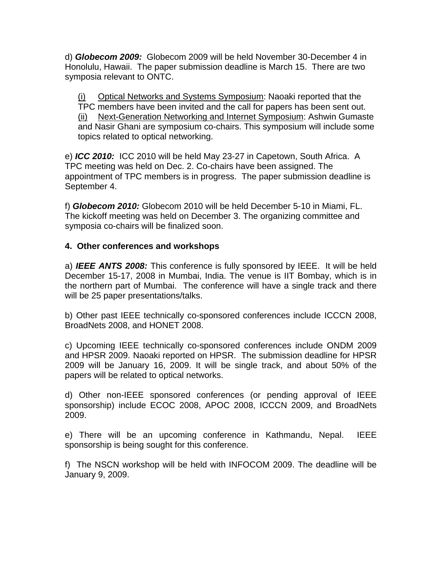d) *Globecom 2009:* Globecom 2009 will be held November 30-December 4 in Honolulu, Hawaii. The paper submission deadline is March 15. There are two symposia relevant to ONTC.

(i) Optical Networks and Systems Symposium: Naoaki reported that the TPC members have been invited and the call for papers has been sent out. (ii) Next-Generation Networking and Internet Symposium: Ashwin Gumaste and Nasir Ghani are symposium co-chairs. This symposium will include some topics related to optical networking.

e) *ICC 2010:* ICC 2010 will be held May 23-27 in Capetown, South Africa. A TPC meeting was held on Dec. 2. Co-chairs have been assigned. The appointment of TPC members is in progress. The paper submission deadline is September 4.

f) *Globecom 2010:* Globecom 2010 will be held December 5-10 in Miami, FL. The kickoff meeting was held on December 3. The organizing committee and symposia co-chairs will be finalized soon.

### **4. Other conferences and workshops**

a) *IEEE ANTS 2008:* This conference is fully sponsored by IEEE. It will be held December 15-17, 2008 in Mumbai, India. The venue is IIT Bombay, which is in the northern part of Mumbai. The conference will have a single track and there will be 25 paper presentations/talks.

b) Other past IEEE technically co-sponsored conferences include ICCCN 2008, BroadNets 2008, and HONET 2008.

c) Upcoming IEEE technically co-sponsored conferences include ONDM 2009 and HPSR 2009. Naoaki reported on HPSR. The submission deadline for HPSR 2009 will be January 16, 2009. It will be single track, and about 50% of the papers will be related to optical networks.

d) Other non-IEEE sponsored conferences (or pending approval of IEEE sponsorship) include ECOC 2008, APOC 2008, ICCCN 2009, and BroadNets 2009.

e) There will be an upcoming conference in Kathmandu, Nepal. IEEE sponsorship is being sought for this conference.

f) The NSCN workshop will be held with INFOCOM 2009. The deadline will be January 9, 2009.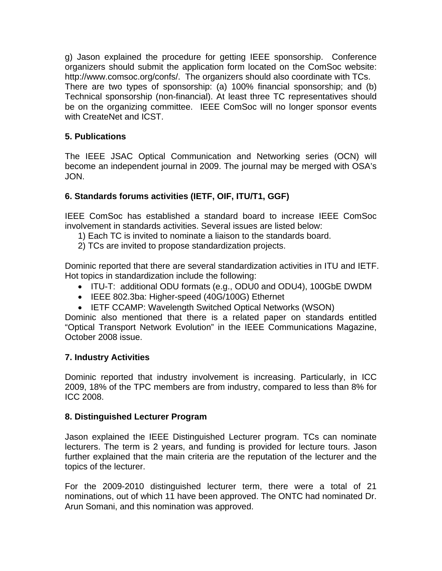g) Jason explained the procedure for getting IEEE sponsorship. Conference organizers should submit the application form located on the ComSoc website: http://www.comsoc.org/confs/. The organizers should also coordinate with TCs. There are two types of sponsorship: (a) 100% financial sponsorship; and (b) Technical sponsorship (non-financial). At least three TC representatives should be on the organizing committee. IEEE ComSoc will no longer sponsor events with CreateNet and ICST.

# **5. Publications**

The IEEE JSAC Optical Communication and Networking series (OCN) will become an independent journal in 2009. The journal may be merged with OSA's JON.

# **6. Standards forums activities (IETF, OIF, ITU/T1, GGF)**

IEEE ComSoc has established a standard board to increase IEEE ComSoc involvement in standards activities. Several issues are listed below:

- 1) Each TC is invited to nominate a liaison to the standards board.
- 2) TCs are invited to propose standardization projects.

Dominic reported that there are several standardization activities in ITU and IETF. Hot topics in standardization include the following:

- ITU-T: additional ODU formats (e.g., ODU0 and ODU4), 100GbE DWDM
- IEEE 802.3ba: Higher-speed (40G/100G) Ethernet
- IETF CCAMP: Wavelength Switched Optical Networks (WSON)

Dominic also mentioned that there is a related paper on standards entitled "Optical Transport Network Evolution" in the IEEE Communications Magazine, October 2008 issue.

## **7. Industry Activities**

Dominic reported that industry involvement is increasing. Particularly, in ICC 2009, 18% of the TPC members are from industry, compared to less than 8% for ICC 2008.

## **8. Distinguished Lecturer Program**

Jason explained the IEEE Distinguished Lecturer program. TCs can nominate lecturers. The term is 2 years, and funding is provided for lecture tours. Jason further explained that the main criteria are the reputation of the lecturer and the topics of the lecturer.

For the 2009-2010 distinguished lecturer term, there were a total of 21 nominations, out of which 11 have been approved. The ONTC had nominated Dr. Arun Somani, and this nomination was approved.